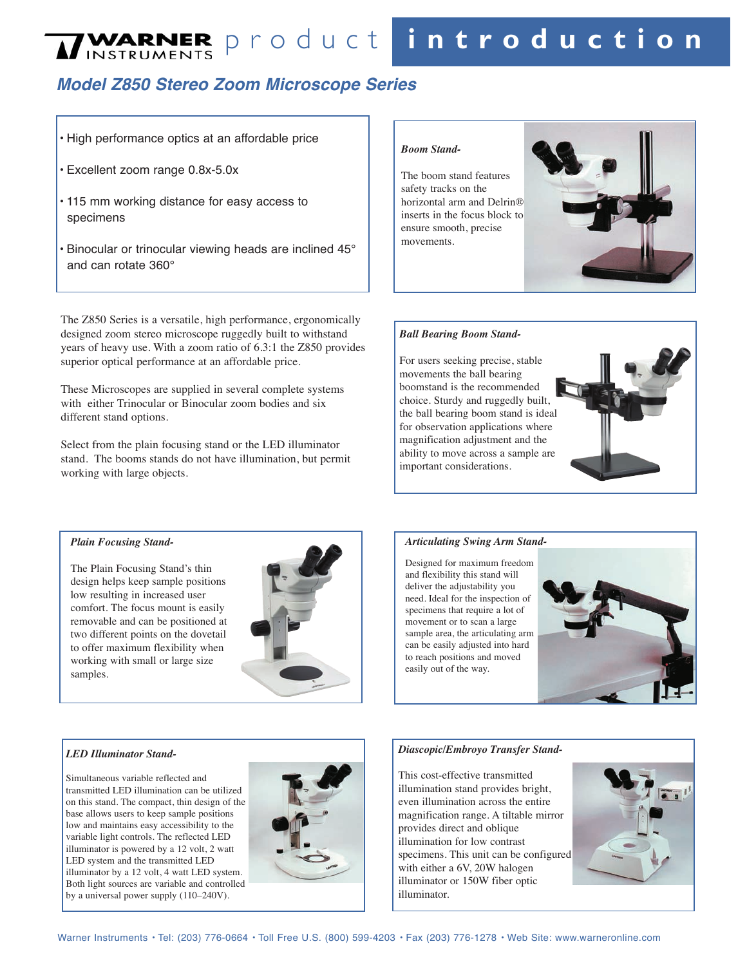# $N$  INSTRUMENTS Product in troduction

## **Model Z850 Stereo Zoom Microscope Series**

#### • High performance optics at an affordable price

- Excellent zoom range 0.8x-5.0x
- 115 mm working distance for easy access to specimens
- Binocular or trinocular viewing heads are inclined 45° and can rotate 360°

The Z850 Series is a versatile, high performance, ergonomically designed zoom stereo microscope ruggedly built to withstand years of heavy use. With a zoom ratio of 6.3:1 the Z850 provides superior optical performance at an affordable price.

These Microscopes are supplied in several complete systems with either Trinocular or Binocular zoom bodies and six different stand options.

Select from the plain focusing stand or the LED illuminator stand. The booms stands do not have illumination, but permit working with large objects.

#### *Boom Stand-*

The boom stand features safety tracks on the horizontal arm and Delrin® inserts in the focus block to ensure smooth, precise movements.



#### *Ball Bearing Boom Stand-*

For users seeking precise, stable movements the ball bearing boomstand is the recommended choice. Sturdy and ruggedly built, the ball bearing boom stand is ideal for observation applications where magnification adjustment and the ability to move across a sample are important considerations.



#### *Plain Focusing Stand-*

The Plain Focusing Stand's thin design helps keep sample positions low resulting in increased user comfort. The focus mount is easily removable and can be positioned at two different points on the dovetail to offer maximum flexibility when working with small or large size samples.



#### *Articulating Swing Arm Stand-*

Designed for maximum freedom and flexibility this stand will deliver the adjustability you need. Ideal for the inspection of specimens that require a lot of movement or to scan a large sample area, the articulating arm can be easily adjusted into hard to reach positions and moved easily out of the way.



#### *LED Illuminator Stand-*

Simultaneous variable reflected and transmitted LED illumination can be utilized on this stand. The compact, thin design of the base allows users to keep sample positions low and maintains easy accessibility to the variable light controls. The reflected LED illuminator is powered by a 12 volt, 2 watt LED system and the transmitted LED illuminator by a 12 volt, 4 watt LED system. Both light sources are variable and controlled by a universal power supply (110–240V).



#### *Diascopic/Embroyo Transfer Stand-*

This cost-effective transmitted illumination stand provides bright, even illumination across the entire magnification range. A tiltable mirror provides direct and oblique illumination for low contrast specimens. This unit can be configured with either a 6V, 20W halogen illuminator or 150W fiber optic illuminator.

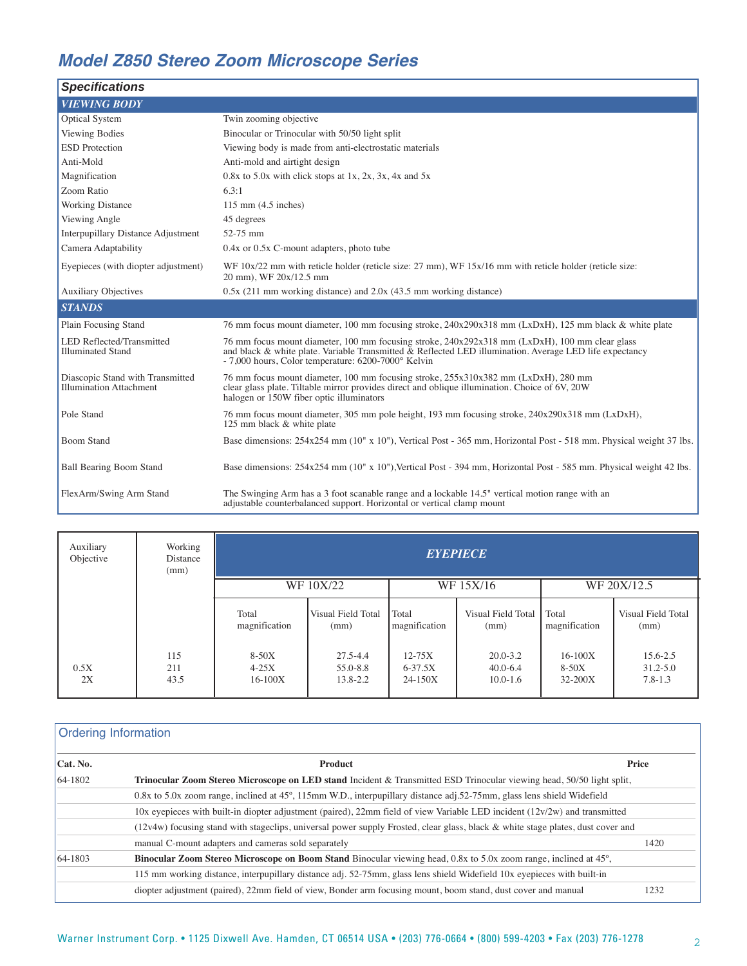# **Model Z850 Stereo Zoom Microscope Series**

| <b>Specifications</b>                                              |                                                                                                                                                                                                                                                                  |
|--------------------------------------------------------------------|------------------------------------------------------------------------------------------------------------------------------------------------------------------------------------------------------------------------------------------------------------------|
| <b>VIEWING BODY</b>                                                |                                                                                                                                                                                                                                                                  |
| <b>Optical System</b>                                              | Twin zooming objective                                                                                                                                                                                                                                           |
| Viewing Bodies                                                     | Binocular or Trinocular with 50/50 light split                                                                                                                                                                                                                   |
| <b>ESD</b> Protection                                              | Viewing body is made from anti-electrostatic materials                                                                                                                                                                                                           |
| Anti-Mold                                                          | Anti-mold and airtight design                                                                                                                                                                                                                                    |
| Magnification                                                      | $0.8x$ to 5.0x with click stops at 1x, 2x, 3x, 4x and 5x                                                                                                                                                                                                         |
| Zoom Ratio                                                         | 6.3:1                                                                                                                                                                                                                                                            |
| <b>Working Distance</b>                                            | $115$ mm $(4.5$ inches)                                                                                                                                                                                                                                          |
| Viewing Angle                                                      | 45 degrees                                                                                                                                                                                                                                                       |
| Interpupillary Distance Adjustment                                 | 52-75 mm                                                                                                                                                                                                                                                         |
| Camera Adaptability                                                | $0.4x$ or $0.5x$ C-mount adapters, photo tube                                                                                                                                                                                                                    |
| Eyepieces (with diopter adjustment)                                | WF $10x/22$ mm with reticle holder (reticle size: 27 mm), WF $15x/16$ mm with reticle holder (reticle size:<br>20 mm), WF 20x/12.5 mm                                                                                                                            |
| <b>Auxiliary Objectives</b>                                        | 0.5x (211 mm working distance) and 2.0x (43.5 mm working distance)                                                                                                                                                                                               |
| <b>STANDS</b>                                                      |                                                                                                                                                                                                                                                                  |
| Plain Focusing Stand                                               | 76 mm focus mount diameter, 100 mm focusing stroke, 240x290x318 mm (LxDxH), 125 mm black & white plate                                                                                                                                                           |
| LED Reflected/Transmitted<br><b>Illuminated Stand</b>              | 76 mm focus mount diameter, 100 mm focusing stroke, 240x292x318 mm (LxDxH), 100 mm clear glass<br>and black & white plate. Variable Transmitted & Reflected LED illumination. Average LED life expectancy<br>- 7,000 hours, Color temperature: 6200-7000° Kelvin |
| Diascopic Stand with Transmitted<br><b>Illumination Attachment</b> | 76 mm focus mount diameter, 100 mm focusing stroke, 255x310x382 mm (LxDxH), 280 mm<br>clear glass plate. Tiltable mirror provides direct and oblique illumination. Choice of 6V, 20W<br>halogen or 150W fiber optic illuminators                                 |
| Pole Stand                                                         | 76 mm focus mount diameter, 305 mm pole height, 193 mm focusing stroke, 240x290x318 mm (LxDxH),<br>125 mm black & white plate                                                                                                                                    |
| <b>Boom Stand</b>                                                  | Base dimensions: 254x254 mm (10" x 10"), Vertical Post - 365 mm, Horizontal Post - 518 mm. Physical weight 37 lbs.                                                                                                                                               |
| <b>Ball Bearing Boom Stand</b>                                     | Base dimensions: 254x254 mm (10" x 10"), Vertical Post - 394 mm, Horizontal Post - 585 mm. Physical weight 42 lbs.                                                                                                                                               |
| FlexArm/Swing Arm Stand                                            | The Swinging Arm has a 3 foot scanable range and a lockable 14.5" vertical motion range with an<br>adjustable counterbalanced support. Horizontal or vertical clamp mount                                                                                        |

| Auxiliary<br>Objective | Working<br>Distance<br>(mm) | <b>EYEPIECE</b>                   |                                      |                                          |                                              |                                       |                                         |  |
|------------------------|-----------------------------|-----------------------------------|--------------------------------------|------------------------------------------|----------------------------------------------|---------------------------------------|-----------------------------------------|--|
|                        |                             |                                   | WF 15X/16<br>WF 10X/22               |                                          |                                              |                                       | WF 20X/12.5                             |  |
|                        |                             | Total<br>magnification            | Visual Field Total<br>(mm)           | Total<br>magnification                   | Visual Field Total<br>(mm)                   | Total<br>magnification                | Visual Field Total<br>(mm)              |  |
| 0.5X<br>2X             | 115<br>211<br>43.5          | $8-50X$<br>$4-25X$<br>$16 - 100X$ | $27.5 - 4.4$<br>55.0-8.8<br>13.8-2.2 | $12 - 75X$<br>$6 - 37.5X$<br>$24 - 150X$ | $20.0 - 3.2$<br>$40.0 - 6.4$<br>$10.0 - 1.6$ | $16 - 100X$<br>$8-50X$<br>$32 - 200X$ | 15.6-2.5<br>$31.2 - 5.0$<br>$7.8 - 1.3$ |  |

### Ordering Information

| $\vert$ Cat. No. | Product                                                                                                                           | Price |
|------------------|-----------------------------------------------------------------------------------------------------------------------------------|-------|
| $64 - 1802$      | Trinocular Zoom Stereo Microscope on LED stand Incident & Transmitted ESD Trinocular viewing head, 50/50 light split,             |       |
|                  | $0.8x$ to 5.0x zoom range, inclined at 45°, 115mm W.D., interpupillary distance adj.52-75mm, glass lens shield Widefield          |       |
|                  | 10x eyepieces with built-in diopter adjustment (paired), 22mm field of view Variable LED incident $(12v/2w)$ and transmitted      |       |
|                  | (12v4w) focusing stand with stageclips, universal power supply Frosted, clear glass, black & white stage plates, dust cover and   |       |
|                  | manual C-mount adapters and cameras sold separately                                                                               | 1420  |
| $64 - 1803$      | <b>Binocular Zoom Stereo Microscope on Boom Stand</b> Binocular viewing head, 0.8x to 5.0x zoom range, inclined at $45^{\circ}$ , |       |
|                  | 115 mm working distance, interpupillary distance adj. 52-75mm, glass lens shield Widefield 10x eyepieces with built-in            |       |
|                  | diopter adjustment (paired), 22mm field of view, Bonder arm focusing mount, boom stand, dust cover and manual                     | 1232  |